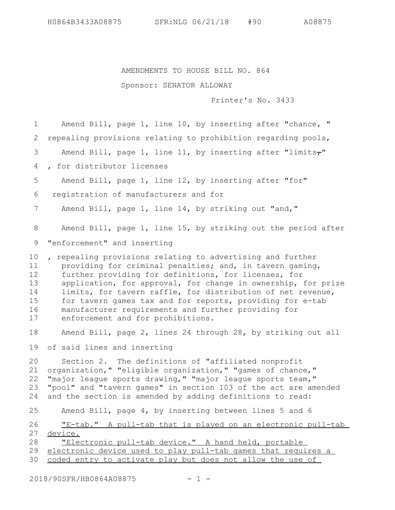H0864B3433A08875 SFR:NLG 06/21/18 #90 A08875

## AMENDMENTS TO HOUSE BILL NO. 864

## Sponsor: SENATOR ALLOWAY

Printer's No. 3433

Amend Bill, page 1, line 10, by inserting after "chance, " repealing provisions relating to prohibition regarding pools, Amend Bill, page 1, line 11, by inserting after "limits $\tau$ " , for distributor licenses Amend Bill, page 1, line 12, by inserting after "for" registration of manufacturers and for Amend Bill, page 1, line 14, by striking out "and," Amend Bill, page 1, line 15, by striking out the period after "enforcement" and inserting , repealing provisions relating to advertising and further providing for criminal penalties; and, in tavern gaming, further providing for definitions, for licenses, for application, for approval, for change in ownership, for prize limits, for tavern raffle, for distribution of net revenue, for tavern games tax and for reports, providing for e-tab manufacturer requirements and further providing for enforcement and for prohibitions. Amend Bill, page 2, lines 24 through 28, by striking out all of said lines and inserting Section 2. The definitions of "affiliated nonprofit organization," "eligible organization," "games of chance," "major league sports drawing," "major league sports team," "pool" and "tavern games" in section 103 of the act are amended and the section is amended by adding definitions to read: Amend Bill, page 4, by inserting between lines 5 and 6 "E-tab." A pull-tab that is played on an electronic pull-tab device. "Electronic pull-tab device." A hand held, portable electronic device used to play pull-tab games that requires a coded entry to activate play but does not allow the use of 1 2 3 4 5 6 7 8 9 10 11 12 13 14 15 16 17 18 19 20 21 22 23 24 25 26 27 28 29 30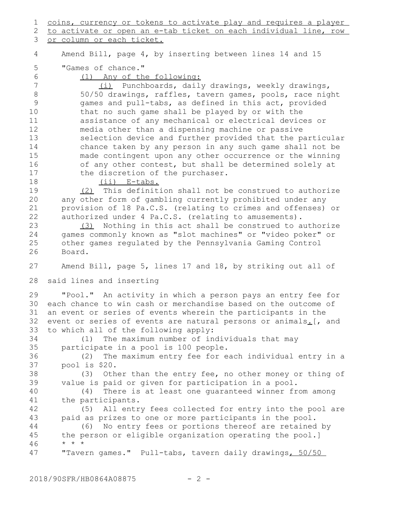coins, currency or tokens to activate play and requires a player to activate or open an e-tab ticket on each individual line, row 1 2

or column or each ticket. 3

Amend Bill, page 4, by inserting between lines 14 and 15 4

"Games of chance." 5

6

(1) Any of the following:

(i) Punchboards, daily drawings, weekly drawings, 50/50 drawings, raffles, tavern games, pools, race night games and pull-tabs, as defined in this act, provided that no such game shall be played by or with the assistance of any mechanical or electrical devices or media other than a dispensing machine or passive selection device and further provided that the particular chance taken by any person in any such game shall not be made contingent upon any other occurrence or the winning of any other contest, but shall be determined solely at the discretion of the purchaser. 7 8 9 10 11 12 13 14 15 16 17

18

(ii) E-tabs.

(2) This definition shall not be construed to authorize any other form of gambling currently prohibited under any provision of 18 Pa.C.S. (relating to crimes and offenses) or authorized under 4 Pa.C.S. (relating to amusements). 19 20 21 22

(3) Nothing in this act shall be construed to authorize games commonly known as "slot machines" or "video poker" or other games regulated by the Pennsylvania Gaming Control Board. 23 24 25 26

Amend Bill, page 5, lines 17 and 18, by striking out all of 27

said lines and inserting 28

"Pool." An activity in which a person pays an entry fee for 30 each chance to win cash or merchandise based on the outcome of an event or series of events wherein the participants in the event or series of events are natural persons or animals. [, and to which all of the following apply: 29 31 32 33

(1) The maximum number of individuals that may participate in a pool is 100 people. 34 35

(2) The maximum entry fee for each individual entry in a pool is \$20. 36 37

(3) Other than the entry fee, no other money or thing of value is paid or given for participation in a pool. 38 39

(4) There is at least one guaranteed winner from among the participants. 40 41

(5) All entry fees collected for entry into the pool are paid as prizes to one or more participants in the pool. 42 43

(6) No entry fees or portions thereof are retained by the person or eligible organization operating the pool.] \* \* \* 44 45 46

"Tavern games." Pull-tabs, tavern daily drawings, 50/50 47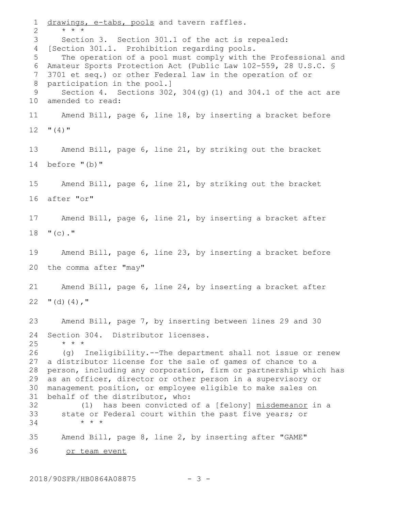drawings, e-tabs, pools and tavern raffles. \* \* \* Section 3. Section 301.1 of the act is repealed: 4 [Section 301.1. Prohibition regarding pools. The operation of a pool must comply with the Professional and Amateur Sports Protection Act (Public Law 102-559, 28 U.S.C. § 3701 et seq.) or other Federal law in the operation of or participation in the pool.] Section 4. Sections  $302$ ,  $304$ (g)(1) and  $304.1$  of the act are 10 amended to read: Amend Bill, page 6, line 18, by inserting a bracket before  $"$  (4)  $"$ Amend Bill, page 6, line 21, by striking out the bracket before "(b)" Amend Bill, page 6, line 21, by striking out the bracket after "or" Amend Bill, page 6, line 21, by inserting a bracket after  $"$  (c)." Amend Bill, page 6, line 23, by inserting a bracket before the comma after "may" Amend Bill, page 6, line 24, by inserting a bracket after  $"$  $(d)$  $(4)$ ,  $"$ Amend Bill, page 7, by inserting between lines 29 and 30 Section 304. Distributor licenses. \* \* \* (g) Ineligibility.--The department shall not issue or renew a distributor license for the sale of games of chance to a person, including any corporation, firm or partnership which has as an officer, director or other person in a supervisory or management position, or employee eligible to make sales on behalf of the distributor, who: (1) has been convicted of a [felony] misdemeanor in a state or Federal court within the past five years; or \* \* \* Amend Bill, page 8, line 2, by inserting after "GAME" or team event 1 2 3 5 6 7 8 9 11 12 13 14 15 16 17 18 19 20 21 22 23 24 25 26 27 28 29 30 31 32 33 34 35 36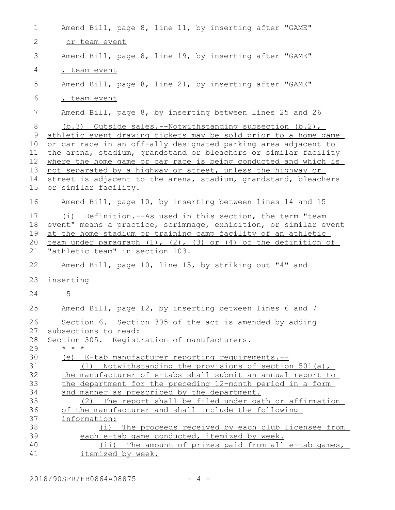| $\mathbf 1$                                | Amend Bill, page 8, line 11, by inserting after "GAME"                                                                                                                                                                                                                                                                                                                                                                                                                                       |
|--------------------------------------------|----------------------------------------------------------------------------------------------------------------------------------------------------------------------------------------------------------------------------------------------------------------------------------------------------------------------------------------------------------------------------------------------------------------------------------------------------------------------------------------------|
| 2                                          | or team event                                                                                                                                                                                                                                                                                                                                                                                                                                                                                |
| 3                                          | Amend Bill, page 8, line 19, by inserting after "GAME"                                                                                                                                                                                                                                                                                                                                                                                                                                       |
| 4                                          | , team event                                                                                                                                                                                                                                                                                                                                                                                                                                                                                 |
| 5                                          | Amend Bill, page 8, line 21, by inserting after "GAME"                                                                                                                                                                                                                                                                                                                                                                                                                                       |
| 6                                          | team event                                                                                                                                                                                                                                                                                                                                                                                                                                                                                   |
| 7                                          | Amend Bill, page 8, by inserting between lines 25 and 26                                                                                                                                                                                                                                                                                                                                                                                                                                     |
| 8<br>9<br>10<br>11<br>12<br>13<br>14<br>15 | (b.3) Outside sales.--Notwithstanding subsection (b.2),<br>athletic event drawing tickets may be sold prior to a home game<br>or car race in an off-ally designated parking area adjacent to<br>the arena, stadium, grandstand or bleachers or similar facility<br>where the home game or car race is being conducted and which is<br>not separated by a highway or street, unless the highway or<br>street is adjacent to the arena, stadium, grandstand, bleachers<br>or similar facility. |
| 16                                         | Amend Bill, page 10, by inserting between lines 14 and 15                                                                                                                                                                                                                                                                                                                                                                                                                                    |
| 17<br>18<br>19<br>20<br>21                 | (i) Definition.--As used in this section, the term "team<br>event" means a practice, scrimmage, exhibition, or similar event<br>at the home stadium or training camp facility of an athletic<br>team under paragraph (1), (2), (3) or (4) of the definition of<br><u>"athletic team" in section 103.</u>                                                                                                                                                                                     |
| 22                                         | Amend Bill, page 10, line 15, by striking out "4" and                                                                                                                                                                                                                                                                                                                                                                                                                                        |
| 23                                         | inserting                                                                                                                                                                                                                                                                                                                                                                                                                                                                                    |
| 24                                         | 5                                                                                                                                                                                                                                                                                                                                                                                                                                                                                            |
| 25                                         | Amend Bill, page 12, by inserting between lines 6 and 7                                                                                                                                                                                                                                                                                                                                                                                                                                      |
| 26<br>27<br>28<br>29<br>30                 | Section 6. Section 305 of the act is amended by adding<br>subsections to read:<br>Section 305. Registration of manufacturers.<br>$\star$ $\star$ $\star$<br>(e) E-tab manufacturer reporting requirements.--                                                                                                                                                                                                                                                                                 |
| 31<br>32<br>33<br>34<br>35                 | (1) Notwithstanding the provisions of section 501(a),<br>the manufacturer of e-tabs shall submit an annual report to<br>the department for the preceding 12-month period in a form<br>and manner as prescribed by the department.<br>(2) The report shall be filed under oath or affirmation                                                                                                                                                                                                 |
| 36                                         | of the manufacturer and shall include the following                                                                                                                                                                                                                                                                                                                                                                                                                                          |
| 37                                         | information:                                                                                                                                                                                                                                                                                                                                                                                                                                                                                 |
| 38<br>39                                   | (i) The proceeds received by each club licensee from<br>each e-tab game conducted, itemized by week.                                                                                                                                                                                                                                                                                                                                                                                         |
| 40                                         | (ii) The amount of prizes paid from all e-tab games,                                                                                                                                                                                                                                                                                                                                                                                                                                         |
| 41                                         | <i>itemized</i> by week.                                                                                                                                                                                                                                                                                                                                                                                                                                                                     |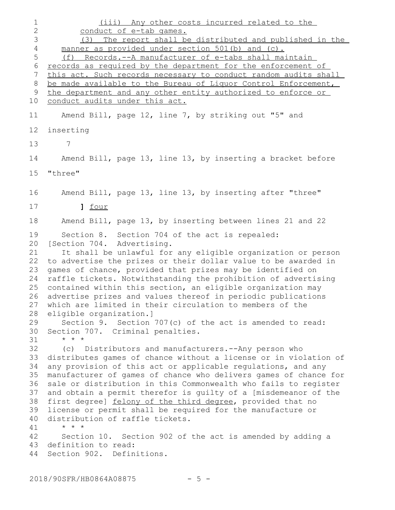(iii) Any other costs incurred related to the conduct of e-tab games. (3) The report shall be distributed and published in the manner as provided under section 501(b) and (c). (f) Records.--A manufacturer of e-tabs shall maintain records as required by the department for the enforcement of this act. Such records necessary to conduct random audits shall be made available to the Bureau of Liquor Control Enforcement, the department and any other entity authorized to enforce or conduct audits under this act. Amend Bill, page 12, line 7, by striking out "5" and inserting 7 Amend Bill, page 13, line 13, by inserting a bracket before "three" Amend Bill, page 13, line 13, by inserting after "three" **]** four Amend Bill, page 13, by inserting between lines 21 and 22 Section 8. Section 704 of the act is repealed: 20 [Section 704. Advertising. It shall be unlawful for any eligible organization or person to advertise the prizes or their dollar value to be awarded in 22 games of chance, provided that prizes may be identified on raffle tickets. Notwithstanding the prohibition of advertising 25 contained within this section, an eligible organization may advertise prizes and values thereof in periodic publications 26 which are limited in their circulation to members of the 27 eligible organization.] Section 9. Section 707(c) of the act is amended to read: 30 Section 707. Criminal penalties. \* \* \* (c) Distributors and manufacturers.--Any person who 33 distributes games of chance without a license or in violation of any provision of this act or applicable regulations, and any manufacturer of games of chance who delivers games of chance for sale or distribution in this Commonwealth who fails to register 36 and obtain a permit therefor is guilty of a [misdemeanor of the first degree] felony of the third degree, provided that no license or permit shall be required for the manufacture or distribution of raffle tickets. \* \* \* Section 10. Section 902 of the act is amended by adding a 43 definition to read: 44 Section 902. Definitions. 1 2 3 4 5 6 7 8 9 10 11 12 13 14 15 16 17 18 19 21 23 24 28 29 31 32 34 35 37 38 39 40 41 42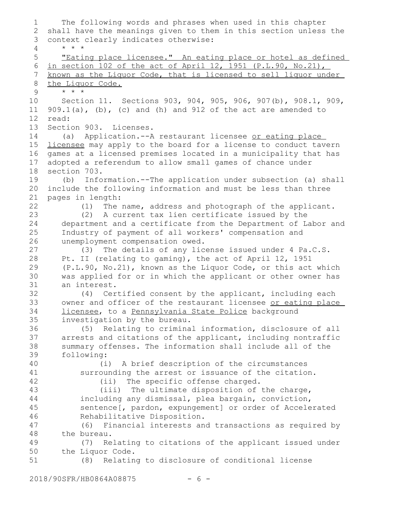The following words and phrases when used in this chapter shall have the meanings given to them in this section unless the context clearly indicates otherwise: \* \* \* "Eating place licensee." An eating place or hotel as defined in section 102 of the act of April 12, 1951 (P.L.90, No.21), known as the Liquor Code, that is licensed to sell liquor under the Liquor Code. \* \* \* Section 11. Sections 903, 904, 905, 906, 907(b), 908.1, 909,  $909.1(a)$ , (b), (c) and (h) and  $912$  of the act are amended to read: Section 903. Licenses. (a) Application.--A restaurant licensee or eating place licensee may apply to the board for a license to conduct tavern games at a licensed premises located in a municipality that has adopted a referendum to allow small games of chance under section 703. (b) Information.--The application under subsection (a) shall include the following information and must be less than three pages in length: (1) The name, address and photograph of the applicant. (2) A current tax lien certificate issued by the department and a certificate from the Department of Labor and Industry of payment of all workers' compensation and unemployment compensation owed. (3) The details of any license issued under 4 Pa.C.S. Pt. II (relating to gaming), the act of April 12, 1951 (P.L.90, No.21), known as the Liquor Code, or this act which was applied for or in which the applicant or other owner has an interest. (4) Certified consent by the applicant, including each owner and officer of the restaurant licensee or eating place licensee, to a Pennsylvania State Police background investigation by the bureau. (5) Relating to criminal information, disclosure of all arrests and citations of the applicant, including nontraffic summary offenses. The information shall include all of the following: (i) A brief description of the circumstances surrounding the arrest or issuance of the citation. (ii) The specific offense charged. (iii) The ultimate disposition of the charge, including any dismissal, plea bargain, conviction, sentence[, pardon, expungement] or order of Accelerated Rehabilitative Disposition. (6) Financial interests and transactions as required by the bureau. (7) Relating to citations of the applicant issued under the Liquor Code. (8) Relating to disclosure of conditional license 1 2 3 4 5 6 7 8 9 10 11 12 13 14 15 16 17 18 19 20 21 22 23 24 25 26 27 28 29 30 31 32 33 34 35 36 37 38 39 40 41 42 43 44 45 46 47 48 49 50 51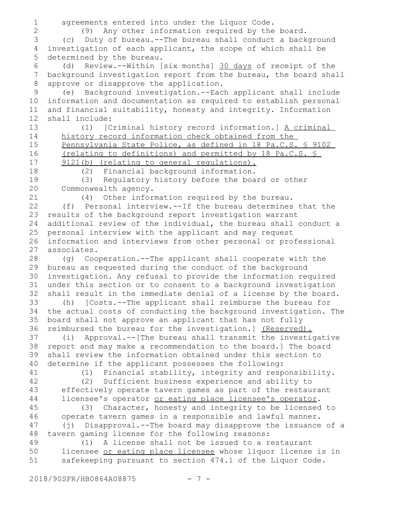agreements entered into under the Liquor Code. (9) Any other information required by the board. (c) Duty of bureau.--The bureau shall conduct a background investigation of each applicant, the scope of which shall be determined by the bureau. (d) Review.--Within [six months] 30 days of receipt of the background investigation report from the bureau, the board shall approve or disapprove the application. (e) Background investigation.--Each applicant shall include information and documentation as required to establish personal and financial suitability, honesty and integrity. Information shall include: (1) [Criminal history record information.] A criminal history record information check obtained from the Pennsylvania State Police, as defined in 18 Pa.C.S. § 9102 (relating to definitions) and permitted by 18 Pa.C.S. § 9121(b) (relating to general regulations). (2) Financial background information. (3) Regulatory history before the board or other Commonwealth agency. (4) Other information required by the bureau. (f) Personal interview.--If the bureau determines that the results of the background report investigation warrant additional review of the individual, the bureau shall conduct a personal interview with the applicant and may request information and interviews from other personal or professional associates. (g) Cooperation.--The applicant shall cooperate with the bureau as requested during the conduct of the background investigation. Any refusal to provide the information required under this section or to consent to a background investigation shall result in the immediate denial of a license by the board. (h) [Costs.--The applicant shall reimburse the bureau for the actual costs of conducting the background investigation. The board shall not approve an applicant that has not fully reimbursed the bureau for the investigation.] (Reserved). (i) Approval.--[The bureau shall transmit the investigative report and may make a recommendation to the board.] The board shall review the information obtained under this section to determine if the applicant possesses the following: (1) Financial stability, integrity and responsibility. (2) Sufficient business experience and ability to effectively operate tavern games as part of the restaurant licensee's operator or eating place licensee's operator. (3) Character, honesty and integrity to be licensed to operate tavern games in a responsible and lawful manner. (j) Disapproval.--The board may disapprove the issuance of a tavern gaming license for the following reasons: (1) A license shall not be issued to a restaurant licensee or eating place licensee whose liquor license is in safekeeping pursuant to section 474.1 of the Liquor Code. 1 2 3 4 5 6 7 8 9 10 11 12 13 14 15 16 17 18 19 20 21 22 23 24 25 26 27 28 29 30 31 32 33 34 35 36 37 38 39 40 41 42 43 44 45 46 47 48 49 50 51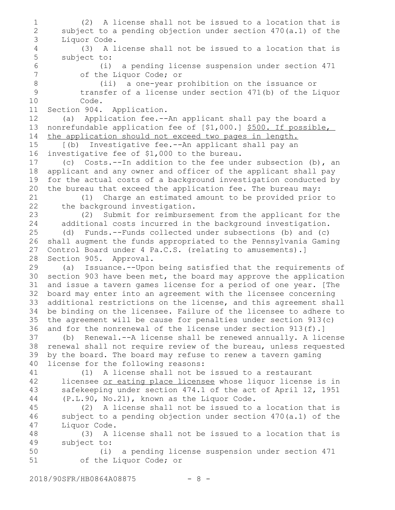(2) A license shall not be issued to a location that is subject to a pending objection under section 470(a.1) of the Liquor Code. (3) A license shall not be issued to a location that is subject to: (i) a pending license suspension under section 471 of the Liquor Code; or (ii) a one-year prohibition on the issuance or transfer of a license under section 471(b) of the Liquor Code. Section 904. Application. (a) Application fee.--An applicant shall pay the board a nonrefundable application fee of [\$1,000.] \$500. If possible, the application should not exceed two pages in length. [(b) Investigative fee.--An applicant shall pay an investigative fee of \$1,000 to the bureau. (c) Costs.--In addition to the fee under subsection (b), an applicant and any owner and officer of the applicant shall pay for the actual costs of a background investigation conducted by the bureau that exceed the application fee. The bureau may: (1) Charge an estimated amount to be provided prior to the background investigation. (2) Submit for reimbursement from the applicant for the additional costs incurred in the background investigation. (d) Funds.--Funds collected under subsections (b) and (c) shall augment the funds appropriated to the Pennsylvania Gaming Control Board under 4 Pa.C.S. (relating to amusements).] Section 905. Approval. (a) Issuance.--Upon being satisfied that the requirements of section 903 have been met, the board may approve the application and issue a tavern games license for a period of one year. [The board may enter into an agreement with the licensee concerning additional restrictions on the license, and this agreement shall be binding on the licensee. Failure of the licensee to adhere to the agreement will be cause for penalties under section 913(c) and for the nonrenewal of the license under section 913(f).] (b) Renewal.--A license shall be renewed annually. A license renewal shall not require review of the bureau, unless requested by the board. The board may refuse to renew a tavern gaming license for the following reasons: (1) A license shall not be issued to a restaurant licensee or eating place licensee whose liquor license is in safekeeping under section 474.1 of the act of April 12, 1951 (P.L.90, No.21), known as the Liquor Code. (2) A license shall not be issued to a location that is subject to a pending objection under section 470(a.1) of the Liquor Code. (3) A license shall not be issued to a location that is subject to: (i) a pending license suspension under section 471 of the Liquor Code; or 1 2 3 4 5 6 7 8 9 10 11 12 13 14 15 16 17 18 19 20 21 22 23 24 25 26 27 28 29 30 31 32 33 34 35 36 37 38 39 40 41 42 43 44 45 46 47 48 49 50 51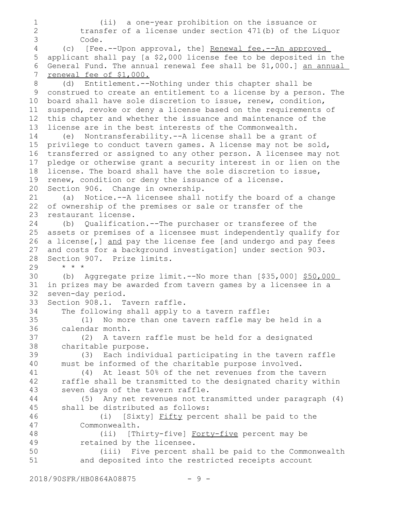```
(ii) a one-year prohibition on the issuance or
           transfer of a license under section 471(b) of the Liquor
          Code.
       (c) [Fee.--Upon approval, the] Renewal fee.--An approved
   applicant shall pay [a $2,000 license fee to be deposited in the
   General Fund. The annual renewal fee shall be $1,000.] an annual
   renewal fee of $1,000.
       (d) Entitlement.--Nothing under this chapter shall be
 construed to create an entitlement to a license by a person. The
9
10 board shall have sole discretion to issue, renew, condition,
   suspend, revoke or deny a license based on the requirements of
   this chapter and whether the issuance and maintenance of the
   license are in the best interests of the Commonwealth.
       (e) Nontransferability.--A license shall be a grant of
15 privilege to conduct tavern games. A license may not be sold,
   transferred or assigned to any other person. A licensee may not
   pledge or otherwise grant a security interest in or lien on the
   license. The board shall have the sole discretion to issue,
   renew, condition or deny the issuance of a license.
   Section 906. Change in ownership.
       (a) Notice.--A licensee shall notify the board of a change
  of ownership of the premises or sale or transfer of the
   restaurant license.
       (b) Qualification.--The purchaser or transferee of the
   assets or premises of a licensee must independently qualify for
   a license[,] and pay the license fee [and undergo and pay fees
   and costs for a background investigation] under section 903.
   Section 907. Prize limits.
       * * *
       (b) Aggregate prize limit.--No more than [$35,000] $50,000
   in prizes may be awarded from tavern games by a licensee in a
   seven-day period.
   Section 908.1. Tavern raffle.
       The following shall apply to a tavern raffle:
           (1) No more than one tavern raffle may be held in a
      calendar month.
           (2) A tavern raffle must be held for a designated
      charitable purpose.
           (3) Each individual participating in the tavern raffle
      must be informed of the charitable purpose involved.
           (4) At least 50% of the net revenues from the tavern
      raffle shall be transmitted to the designated charity within
       seven days of the tavern raffle.
           (5) Any net revenues not transmitted under paragraph (4)
       shall be distributed as follows:
               (i) [Sixty] Fifty percent shall be paid to the
          Commonwealth.
               (ii) [Thirty-five] Forty-five percent may be
          retained by the licensee.
               (iii) Five percent shall be paid to the Commonwealth
           and deposited into the restricted receipts account
1
2
3
4
5
6
7
8
11
12
13
14
16
17
18
19
20
21
22
23
24
25
26
27
28
29
30
31
32
33
34
35
36
37
38
39
40
41
42
43
44
45
46
47
48
49
50
51
```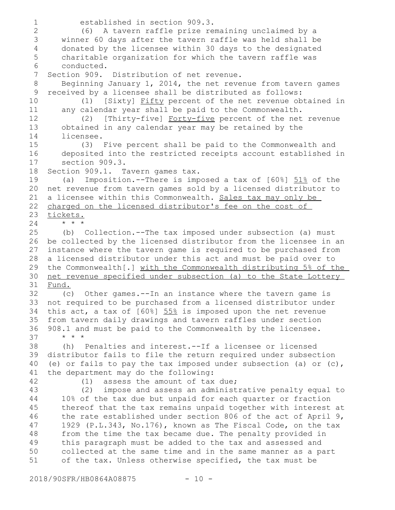established in section 909.3. (6) A tavern raffle prize remaining unclaimed by a winner 60 days after the tavern raffle was held shall be donated by the licensee within 30 days to the designated charitable organization for which the tavern raffle was conducted. Section 909. Distribution of net revenue. Beginning January 1, 2014, the net revenue from tavern games received by a licensee shall be distributed as follows: (1) [Sixty] Fifty percent of the net revenue obtained in any calendar year shall be paid to the Commonwealth. (2) [Thirty-five] Forty-five percent of the net revenue obtained in any calendar year may be retained by the licensee. (3) Five percent shall be paid to the Commonwealth and deposited into the restricted receipts account established in section 909.3. Section 909.1. Tavern games tax. (a) Imposition.--There is imposed a tax of  $[60\%]$   $\underline{51\%}$  of the net revenue from tavern games sold by a licensed distributor to a licensee within this Commonwealth. Sales tax may only be charged on the licensed distributor's fee on the cost of tickets. \* \* \* (b) Collection.--The tax imposed under subsection (a) must be collected by the licensed distributor from the licensee in an instance where the tavern game is required to be purchased from a licensed distributor under this act and must be paid over to the Commonwealth[.] with the Commonwealth distributing 5% of the net revenue specified under subsection (a) to the State Lottery Fund. (c) Other games.--In an instance where the tavern game is not required to be purchased from a licensed distributor under this act, a tax of  $[60\%]$  55% is imposed upon the net revenue from tavern daily drawings and tavern raffles under section 908.1 and must be paid to the Commonwealth by the licensee. \* \* \* (h) Penalties and interest.--If a licensee or licensed distributor fails to file the return required under subsection (e) or fails to pay the tax imposed under subsection (a) or (c), the department may do the following: (1) assess the amount of tax due; (2) impose and assess an administrative penalty equal to 10% of the tax due but unpaid for each quarter or fraction thereof that the tax remains unpaid together with interest at the rate established under section 806 of the act of April 9, 1929 (P.L.343, No.176), known as The Fiscal Code, on the tax from the time the tax became due. The penalty provided in this paragraph must be added to the tax and assessed and collected at the same time and in the same manner as a part of the tax. Unless otherwise specified, the tax must be 1 2 3 4 5 6 7 8 9 10 11 12 13 14 15 16 17 18 19 20 21 22 23 24 25 26 27 28 29 30 31 32 33 34 35 36 37 38 39 40 41 42 43 44 45 46 47 48 49 50 51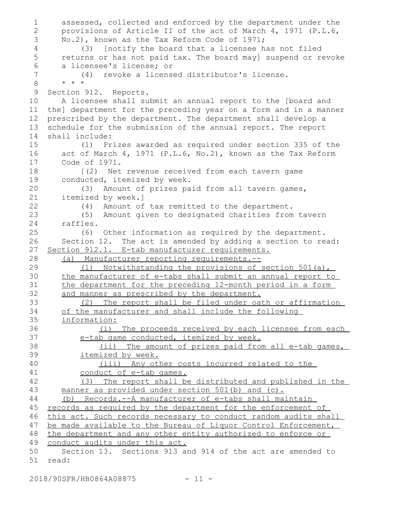assessed, collected and enforced by the department under the provisions of Article II of the act of March 4, 1971 (P.L.6, No.2), known as the Tax Reform Code of 1971; (3) [notify the board that a licensee has not filed returns or has not paid tax. The board may] suspend or revoke a licensee's license; or (4) revoke a licensed distributor's license. \* \* \* Section 912. Reports. A licensee shall submit an annual report to the [board and the] department for the preceding year on a form and in a manner prescribed by the department. The department shall develop a schedule for the submission of the annual report. The report shall include: (1) Prizes awarded as required under section 335 of the act of March 4, 1971 (P.L.6, No.2), known as the Tax Reform Code of 1971. [(2) Net revenue received from each tavern game conducted, itemized by week. (3) Amount of prizes paid from all tavern games, itemized by week.] (4) Amount of tax remitted to the department. (5) Amount given to designated charities from tavern raffles. (6) Other information as required by the department. Section 12. The act is amended by adding a section to read: Section 912.1. E-tab manufacturer requirements. (a) Manufacturer reporting requirements.-- (1) Notwithstanding the provisions of section 501(a), the manufacturer of e-tabs shall submit an annual report to the department for the preceding 12-month period in a form and manner as prescribed by the department. (2) The report shall be filed under oath or affirmation of the manufacturer and shall include the following information: (i) The proceeds received by each licensee from each e-tab game conducted, itemized by week. (ii) The amount of prizes paid from all e-tab games, itemized by week. (iii) Any other costs incurred related to the conduct of e-tab games. (3) The report shall be distributed and published in the manner as provided under section 501(b) and (c). (b) Records.--A manufacturer of e-tabs shall maintain records as required by the department for the enforcement of this act. Such records necessary to conduct random audits shall be made available to the Bureau of Liquor Control Enforcement, the department and any other entity authorized to enforce or conduct audits under this act. Section 13. Sections 913 and 914 of the act are amended to read: 1 2 3 4 5 6 7 8 9 10 11 12 13 14 15 16 17 18 19 20 21 22 23 24 25 26 27 28 29 30 31 32 33 34 35 36 37 38 39 40 41 42 43 44 45 46 47 48 49 50 51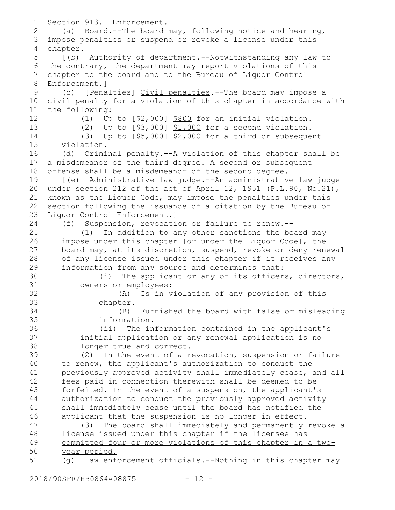Section 913. Enforcement. (a) Board.--The board may, following notice and hearing, impose penalties or suspend or revoke a license under this chapter. [(b) Authority of department.--Notwithstanding any law to the contrary, the department may report violations of this chapter to the board and to the Bureau of Liquor Control Enforcement.] (c) [Penalties] Civil penalties.--The board may impose a civil penalty for a violation of this chapter in accordance with the following: (1) Up to [\$2,000] \$800 for an initial violation. (2) Up to  $[$3,000]$   $$1,000$  for a second violation. (3) Up to  $[$5,000]$   $$2,000$  for a third or subsequent violation. (d) Criminal penalty.--A violation of this chapter shall be a misdemeanor of the third degree. A second or subsequent offense shall be a misdemeanor of the second degree. [(e) Administrative law judge.--An administrative law judge under section 212 of the act of April 12, 1951 (P.L.90, No.21), known as the Liquor Code, may impose the penalties under this section following the issuance of a citation by the Bureau of Liquor Control Enforcement.] (f) Suspension, revocation or failure to renew.-- (1) In addition to any other sanctions the board may impose under this chapter [or under the Liquor Code], the board may, at its discretion, suspend, revoke or deny renewal of any license issued under this chapter if it receives any information from any source and determines that: (i) The applicant or any of its officers, directors, owners or employees: (A) Is in violation of any provision of this chapter. (B) Furnished the board with false or misleading information. (ii) The information contained in the applicant's initial application or any renewal application is no longer true and correct. (2) In the event of a revocation, suspension or failure to renew, the applicant's authorization to conduct the previously approved activity shall immediately cease, and all fees paid in connection therewith shall be deemed to be forfeited. In the event of a suspension, the applicant's authorization to conduct the previously approved activity shall immediately cease until the board has notified the applicant that the suspension is no longer in effect. (3) The board shall immediately and permanently revoke a license issued under this chapter if the licensee has committed four or more violations of this chapter in a twoyear period. (g) Law enforcement officials.--Nothing in this chapter may 1 2 3 4 5 6 7 8 9 10 11 12 13 14 15 16 17 18 19 20 21 22 23 24 25 26 27 28 29 30 31 32 33 34 35 36 37 38 39 40 41 42 43 44 45 46 47 48 49 50 51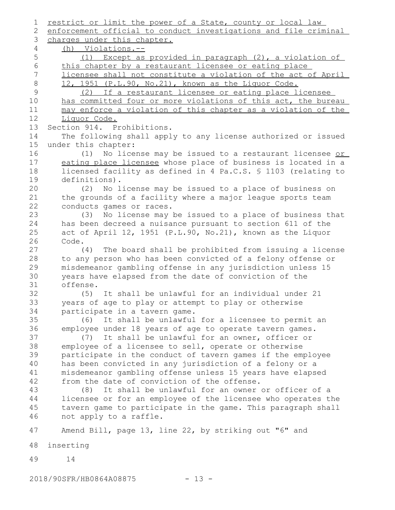restrict or limit the power of a State, county or local law enforcement official to conduct investigations and file criminal charges under this chapter. (h) Violations.-- (1) Except as provided in paragraph (2), a violation of this chapter by a restaurant licensee or eating place licensee shall not constitute a violation of the act of April 12, 1951 (P.L.90, No.21), known as the Liquor Code. (2) If a restaurant licensee or eating place licensee has committed four or more violations of this act, the bureau may enforce a violation of this chapter as a violation of the Liquor Code. Section 914. Prohibitions. The following shall apply to any license authorized or issued under this chapter: (1) No license may be issued to a restaurant licensee or eating place licensee whose place of business is located in a licensed facility as defined in 4 Pa.C.S. § 1103 (relating to definitions). (2) No license may be issued to a place of business on the grounds of a facility where a major league sports team conducts games or races. (3) No license may be issued to a place of business that has been decreed a nuisance pursuant to section 611 of the act of April 12, 1951 (P.L.90, No.21), known as the Liquor Code. (4) The board shall be prohibited from issuing a license to any person who has been convicted of a felony offense or misdemeanor gambling offense in any jurisdiction unless 15 years have elapsed from the date of conviction of the offense. (5) It shall be unlawful for an individual under 21 years of age to play or attempt to play or otherwise participate in a tavern game. (6) It shall be unlawful for a licensee to permit an employee under 18 years of age to operate tavern games. (7) It shall be unlawful for an owner, officer or employee of a licensee to sell, operate or otherwise participate in the conduct of tavern games if the employee has been convicted in any jurisdiction of a felony or a misdemeanor gambling offense unless 15 years have elapsed from the date of conviction of the offense. (8) It shall be unlawful for an owner or officer of a licensee or for an employee of the licensee who operates the tavern game to participate in the game. This paragraph shall not apply to a raffle. Amend Bill, page 13, line 22, by striking out "6" and inserting 14 2018/90SFR/HB0864A08875 - 13 - 1 2 3 4 5 6 7 8 9 10 11 12 13 14 15 16 17 18 19 20 21 22 23 24 25 26 27 28 29 30 31 32 33 34 35 36 37 38 39 40 41 42 43 44 45 46 47 48 49